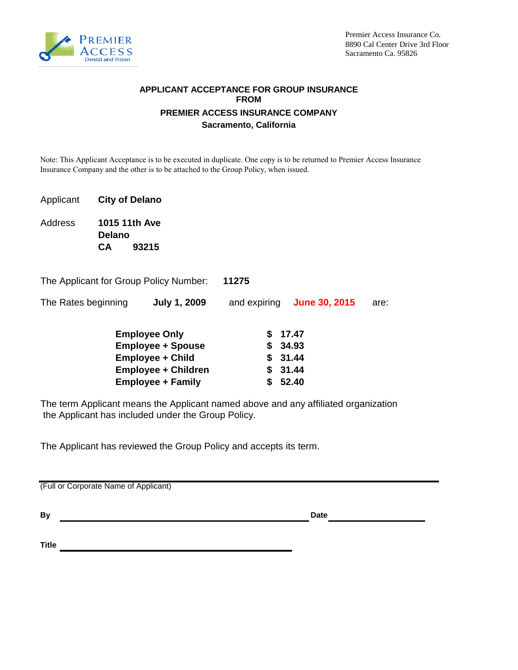

#### **FROM PREMIER ACCESS INSURANCE COMPANY Sacramento, California APPLICANT ACCEPTANCE FOR GROUP INSURANCE**

Note: This Applicant Acceptance is to be executed in duplicate. One copy is to be returned to Premier Access Insurance Insurance Company and the other is to be attached to the Group Policy, when issued.

- Applicant **City of Delano**
- Address **CA 1015 11th Ave Delano 93215**
- The Applicant for Group Policy Number: **11275**
- The Rates beginning **July 1, 2009** and expiring **June 30, 2015** are: **June 30, 2015 July 1, 2009**

| <b>Employee Only</b>       | \$17.47 |
|----------------------------|---------|
| <b>Employee + Spouse</b>   | \$34.93 |
| <b>Employee + Child</b>    | \$31.44 |
| <b>Employee + Children</b> | \$31.44 |
| <b>Employee + Family</b>   | \$52.40 |

The term Applicant means the Applicant named above and any affiliated organization the Applicant has included under the Group Policy.

The Applicant has reviewed the Group Policy and accepts its term.

(Full or Corporate Name of Applicant)

**By Date Date Date Date Date** 

**Title**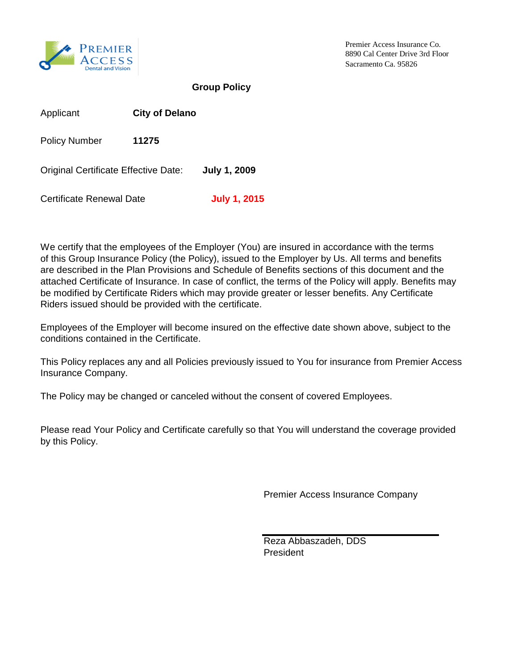

8890 Cal Center Drive 3rd Floor Sacramento Ca. 95826 Premier Access Insurance Co.

**Group Policy**

| Applicant                            | <b>City of Delano</b> |                     |
|--------------------------------------|-----------------------|---------------------|
| <b>Policy Number</b>                 | 11275                 |                     |
| Original Certificate Effective Date: |                       | <b>July 1, 2009</b> |
| Certificate Renewal Date             |                       | <b>July 1, 2015</b> |

We certify that the employees of the Employer (You) are insured in accordance with the terms of this Group Insurance Policy (the Policy), issued to the Employer by Us. All terms and benefits are described in the Plan Provisions and Schedule of Benefits sections of this document and the attached Certificate of Insurance. In case of conflict, the terms of the Policy will apply. Benefits may be modified by Certificate Riders which may provide greater or lesser benefits. Any Certificate Riders issued should be provided with the certificate.

Employees of the Employer will become insured on the effective date shown above, subject to the conditions contained in the Certificate.

This Policy replaces any and all Policies previously issued to You for insurance from Premier Access Insurance Company.

The Policy may be changed or canceled without the consent of covered Employees.

Please read Your Policy and Certificate carefully so that You will understand the coverage provided by this Policy.

Premier Access Insurance Company

Reza Abbaszadeh, DDS President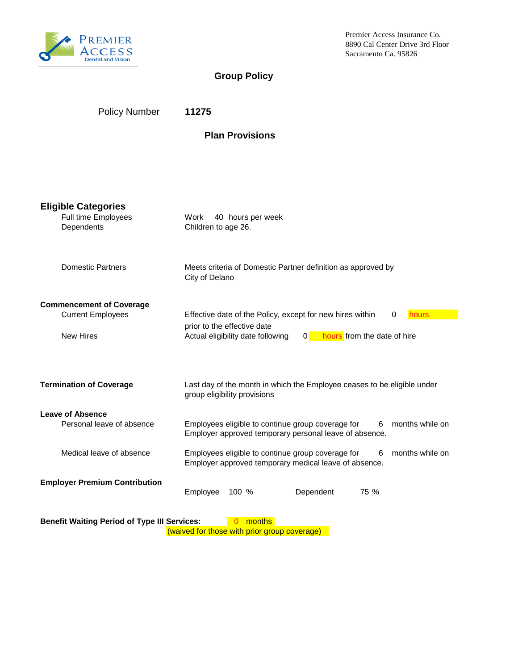

8890 Cal Center Drive 3rd Floor Sacramento Ca. 95826 Premier Access Insurance Co.

# **Group Policy**

| <b>Policy Number</b> | 11275 |
|----------------------|-------|
|                      |       |

## **Plan Provisions**

| <b>Eligible Categories</b><br>Full time Employees<br>Dependents                                                           | 40 hours per week<br>Work<br>Children to age 26.                                                                                    |  |  |  |
|---------------------------------------------------------------------------------------------------------------------------|-------------------------------------------------------------------------------------------------------------------------------------|--|--|--|
| <b>Domestic Partners</b>                                                                                                  | Meets criteria of Domestic Partner definition as approved by<br>City of Delano                                                      |  |  |  |
| <b>Commencement of Coverage</b>                                                                                           |                                                                                                                                     |  |  |  |
| <b>Current Employees</b>                                                                                                  | Effective date of the Policy, except for new hires within<br>hours<br>0                                                             |  |  |  |
| <b>New Hires</b>                                                                                                          | prior to the effective date<br>hours from the date of hire<br>Actual eligibility date following<br> 0                               |  |  |  |
| <b>Termination of Coverage</b>                                                                                            | Last day of the month in which the Employee ceases to be eligible under<br>group eligibility provisions                             |  |  |  |
| <b>Leave of Absence</b><br>Personal leave of absence                                                                      | Employees eligible to continue group coverage for<br>months while on<br>6<br>Employer approved temporary personal leave of absence. |  |  |  |
|                                                                                                                           |                                                                                                                                     |  |  |  |
| Medical leave of absence                                                                                                  | Employees eligible to continue group coverage for<br>months while on<br>6<br>Employer approved temporary medical leave of absence.  |  |  |  |
| <b>Employer Premium Contribution</b>                                                                                      | Employee<br>Dependent<br>100 %<br>75 %                                                                                              |  |  |  |
| months<br><b>Benefit Waiting Period of Type III Services:</b><br>$\Omega$<br>(waived for those with prior group coverage) |                                                                                                                                     |  |  |  |